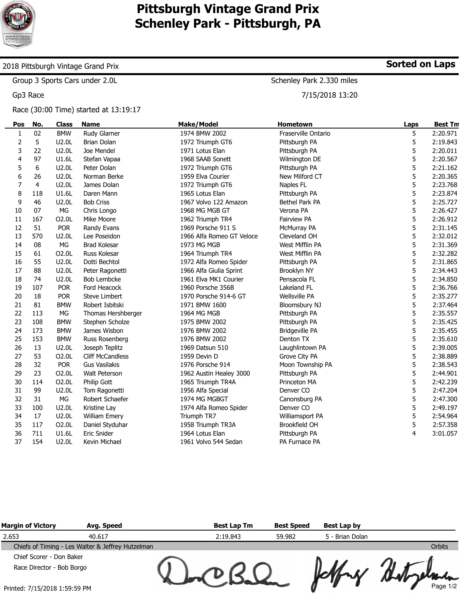

# **Pittsburgh Vintage Grand Prix Schenley Park - Pittsburgh, PA**

### 2018 Pittsburgh Vintage Grand Prix

Group 3 Sports Cars under 2.0L

Gp3 Race

#### Race (30:00 Time) started at 13:19:17

| Pos          | No.            | <b>Class</b> | <b>Name</b>             | <b>Make/Model</b>         | Hometown              | Laps | <b>Best Tn</b> |
|--------------|----------------|--------------|-------------------------|---------------------------|-----------------------|------|----------------|
| $\mathbf{1}$ | 02             | <b>BMW</b>   | Rudy Glarner            | 1974 BMW 2002             | Fraserville Ontario   | 5    | 2:20.971       |
| 2            | 5              | U2.0L        | <b>Brian Dolan</b>      | 1972 Triumph GT6          | Pittsburgh PA         | 5    | 2:19.843       |
| 3            | 22             | U2.0L        | Joe Mendel              | 1971 Lotus Elan           | Pittsburgh PA         | 5    | 2:20.011       |
| 4            | 97             | U1.6L        | Stefan Vapaa            | 1968 SAAB Sonett          | Wilmington DE         | 5    | 2:20.567       |
| 5            | 6              | U2.0L        | Peter Dolan             | 1972 Triumph GT6          | Pittsburgh PA         | 5    | 2:21.162       |
| 6            | 26             | U2.0L        | Norman Berke            | 1959 Elva Courier         | New Milford CT        | 5    | 2:20.365       |
| 7            | $\overline{4}$ | U2.0L        | James Dolan             | 1972 Triumph GT6          | Naples FL             | 5    | 2:23.768       |
| 8            | 118            | U1.6L        | Daren Mann              | 1965 Lotus Elan           | Pittsburgh PA         | 5    | 2:23.874       |
| 9            | 46             | U2.0L        | <b>Bob Criss</b>        | 1967 Volvo 122 Amazon     | Bethel Park PA        | 5    | 2:25.727       |
| 10           | 07             | MG           | Chris Longo             | 1968 MG MGB GT            | Verona PA             | 5    | 2:26.427       |
| 11           | 167            | O2.0L        | Mike Moore              | 1962 Triumph TR4          | <b>Fairview PA</b>    | 5    | 2:26.912       |
| 12           | 51             | <b>POR</b>   | Randy Evans             | 1969 Porsche 911 S        | McMurray PA           | 5    | 2:31.145       |
| 13           | 570            | U2.0L        | Lee Poseidon            | 1966 Alfa Romeo GT Veloce | Cleveland OH          | 5    | 2:32.012       |
| 14           | 08             | MG           | <b>Brad Kolesar</b>     | 1973 MG MGB               | West Mifflin PA       | 5    | 2:31.369       |
| 15           | 61             | O2.0L        | Russ Kolesar            | 1964 Triumph TR4          | West Mifflin PA       | 5    | 2:32.282       |
| 16           | 55             | U2.0L        | Dotti Bechtol           | 1972 Alfa Romeo Spider    | Pittsburgh PA         | 5    | 2:31.865       |
| 17           | 88             | U2.0L        | Peter Ragonetti         | 1966 Alfa Giulia Sprint   | Brooklyn NY           | 5    | 2:34.443       |
| 18           | 74             | U2.0L        | <b>Bob Lembcke</b>      | 1961 Elva MK1 Courier     | Pensacola FL          | 5    | 2:34.850       |
| 19           | 107            | <b>POR</b>   | Ford Heacock            | 1960 Porsche 356B         | Lakeland FL           | 5    | 2:36.766       |
| 20           | 18             | <b>POR</b>   | <b>Steve Limbert</b>    | 1970 Porsche 914-6 GT     | <b>Wellsville PA</b>  | 5    | 2:35.277       |
| 21           | 81             | <b>BMW</b>   | Robert Isbitski         | 1971 BMW 1600             | Bloomsbury NJ         | 5    | 2:37.464       |
| 22           | 113            | МG           | Thomas Hershberger      | 1964 MG MGB               | Pittsburgh PA         | 5    | 2:35.557       |
| 23           | 108            | <b>BMW</b>   | Stephen Scholze         | 1975 BMW 2002             | Pittsburgh PA         | 5    | 2:35.425       |
| 24           | 173            | <b>BMW</b>   | James Wisbon            | 1976 BMW 2002             | <b>Bridgeville PA</b> | 5    | 2:35.455       |
| 25           | 153            | <b>BMW</b>   | Russ Rosenberg          | 1976 BMW 2002             | Denton TX             | 5    | 2:35.610       |
| 26           | 13             | U2.0L        | Joseph Teplitz          | 1969 Datsun 510           | Laughlintown PA       | 5    | 2:39.005       |
| 27           | 53             | O2.0L        | <b>Cliff McCandless</b> | 1959 Devin D              | Grove City PA         | 5    | 2:38.889       |
| 28           | 32             | <b>POR</b>   | <b>Gus Vasilakis</b>    | 1976 Porsche 914          | Moon Township PA      | 5    | 2:38.543       |
| 29           | 23             | O2.0L        | Walt Peterson           | 1962 Austin Healey 3000   | Pittsburgh PA         | 5    | 2:44.901       |
| 30           | 114            | O2.0L        | Philip Gott             | 1965 Triumph TR4A         | Princeton MA          | 5    | 2:42.239       |
| 31           | 99             | U2.0L        | Tom Ragonetti           | 1956 Alfa Special         | Denver <sub>CO</sub>  | 5    | 2:47.204       |
| 32           | 31             | MG           | Robert Schaefer         | 1974 MG MGBGT             | Canonsburg PA         | 5    | 2:47.300       |
| 33           | 100            | U2.0L        | Kristine Lay            | 1974 Alfa Romeo Spider    | Denver <sub>CO</sub>  | 5    | 2:49.197       |
| 34           | 17             | U2.0L        | <b>William Emery</b>    | Triumph TR7               | Williamsport PA       | 5    | 2:54.964       |
| 35           | 117            | O2.0L        | Daniel Styduhar         | 1958 Triumph TR3A         | Brookfield OH         | 5    | 2:57.358       |
| 36           | 711            | U1.6L        | <b>Eric Snider</b>      | 1964 Lotus Elan           | Pittsburgh PA         | 4    | 3:01.057       |
| 37           | 154            | U2.0L        | Kevin Michael           | 1961 Volvo 544 Sedan      | PA Furnace PA         |      |                |

| <b>Margin of Victory</b>      | Avg. Speed                                        | <b>Best Lap Tm</b> | <b>Best Speed</b> | Best Lap by     |               |
|-------------------------------|---------------------------------------------------|--------------------|-------------------|-----------------|---------------|
| 2.653                         | 40.617                                            | 2:19.843           | 59.982            | 5 - Brian Dolan |               |
|                               | Chiefs of Timing - Les Walter & Jeffrey Hutzelman |                    |                   |                 | <b>Orbits</b> |
| Chief Scorer - Don Baker      |                                                   |                    |                   |                 |               |
| Race Director - Bob Borgo     |                                                   |                    |                   |                 |               |
| Printed: 7/15/2018 1:59:59 PM |                                                   |                    |                   |                 | Page 1/2      |

**Sorted on Laps**

Schenley Park 2.330 miles

7/15/2018 13:20

Printed: 7/15/2018 1:59:59 PM